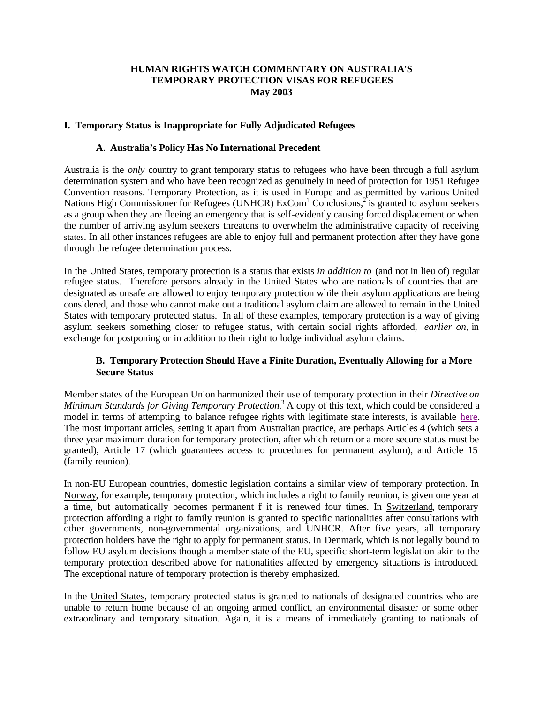#### **HUMAN RIGHTS WATCH COMMENTARY ON AUSTRALIA'S TEMPORARY PROTECTION VISAS FOR REFUGEES May 2003**

### **I. Temporary Status is Inappropriate for Fully Adjudicated Refugees**

#### **A. Australia's Policy Has No International Precedent**

Australia is the *only* country to grant temporary status to refugees who have been through a full asylum determination system and who have been recognized as genuinely in need of protection for 1951 Refugee Convention reasons. Temporary Protection, as it is used in Europe and as permitted by various United Nations High Commissioner for Refugees (UNHCR)  $ExCom<sup>1</sup> Conclusions, <sup>2</sup>$  is granted to asylum seekers as a group when they are fleeing an emergency that is self-evidently causing forced displacement or when the number of arriving asylum seekers threatens to overwhelm the administrative capacity of receiving states. In all other instances refugees are able to enjoy full and permanent protection after they have gone through the refugee determination process.

In the United States, temporary protection is a status that exists *in addition to* (and not in lieu of) regular refugee status. Therefore persons already in the United States who are nationals of countries that are designated as unsafe are allowed to enjoy temporary protection while their asylum applications are being considered, and those who cannot make out a traditional asylum claim are allowed to remain in the United States with temporary protected status. In all of these examples, temporary protection is a way of giving asylum seekers something closer to refugee status, with certain social rights afforded, *earlier on*, in exchange for postponing or in addition to their right to lodge individual asylum claims.

### **B. Temporary Protection Should Have a Finite Duration, Eventually Allowing for a More Secure Status**

Member states of the European Union harmonized their use of temporary protection in their *Directive on Minimum Standards for Giving Temporary Protection.<sup>3</sup>* A copy of this text, which could be considered a model in terms of attempting to balance refugee rights with legitimate state interests, is available here. The most important articles, setting it apart from Australian practice, are perhaps Articles 4 (which sets a three year maximum duration for temporary protection, after which return or a more secure status must be granted), Article 17 (which guarantees access to procedures for permanent asylum), and Article 15 (family reunion).

In non-EU European countries, domestic legislation contains a similar view of temporary protection. In Norway, for example, temporary protection, which includes a right to family reunion, is given one year at a time, but automatically becomes permanent f it is renewed four times. In Switzerland, temporary protection affording a right to family reunion is granted to specific nationalities after consultations with other governments, non-governmental organizations, and UNHCR. After five years, all temporary protection holders have the right to apply for permanent status. In Denmark, which is not legally bound to follow EU asylum decisions though a member state of the EU, specific short-term legislation akin to the temporary protection described above for nationalities affected by emergency situations is introduced. The exceptional nature of temporary protection is thereby emphasized.

In the United States, temporary protected status is granted to nationals of designated countries who are unable to return home because of an ongoing armed conflict, an environmental disaster or some other extraordinary and temporary situation. Again, it is a means of immediately granting to nationals of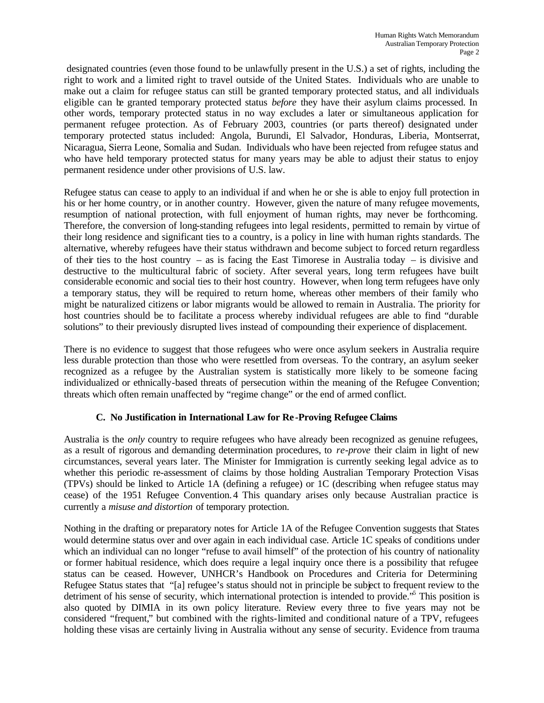designated countries (even those found to be unlawfully present in the U.S.) a set of rights, including the right to work and a limited right to travel outside of the United States. Individuals who are unable to make out a claim for refugee status can still be granted temporary protected status, and all individuals eligible can be granted temporary protected status *before* they have their asylum claims processed. In other words, temporary protected status in no way excludes a later or simultaneous application for permanent refugee protection. As of February 2003, countries (or parts thereof) designated under temporary protected status included: Angola, Burundi, El Salvador, Honduras, Liberia, Montserrat, Nicaragua, Sierra Leone, Somalia and Sudan. Individuals who have been rejected from refugee status and who have held temporary protected status for many years may be able to adjust their status to enjoy permanent residence under other provisions of U.S. law.

Refugee status can cease to apply to an individual if and when he or she is able to enjoy full protection in his or her home country, or in another country. However, given the nature of many refugee movements, resumption of national protection, with full enjoyment of human rights, may never be forthcoming. Therefore, the conversion of long-standing refugees into legal residents, permitted to remain by virtue of their long residence and significant ties to a country, is a policy in line with human rights standards. The alternative, whereby refugees have their status withdrawn and become subject to forced return regardless of their ties to the host country – as is facing the East Timorese in Australia today – is divisive and destructive to the multicultural fabric of society. After several years, long term refugees have built considerable economic and social ties to their host country. However, when long term refugees have only a temporary status, they will be required to return home, whereas other members of their family who might be naturalized citizens or labor migrants would be allowed to remain in Australia. The priority for host countries should be to facilitate a process whereby individual refugees are able to find "durable solutions" to their previously disrupted lives instead of compounding their experience of displacement.

There is no evidence to suggest that those refugees who were once asylum seekers in Australia require less durable protection than those who were resettled from overseas. To the contrary, an asylum seeker recognized as a refugee by the Australian system is statistically more likely to be someone facing individualized or ethnically-based threats of persecution within the meaning of the Refugee Convention; threats which often remain unaffected by "regime change" or the end of armed conflict.

# **C. No Justification in International Law for Re -Proving Refugee Claims**

Australia is the *only* country to require refugees who have already been recognized as genuine refugees, as a result of rigorous and demanding determination procedures, to *re-prove* their claim in light of new circumstances, several years later. The Minister for Immigration is currently seeking legal advice as to whether this periodic re-assessment of claims by those holding Australian Temporary Protection Visas (TPVs) should be linked to Article 1A (defining a refugee) or 1C (describing when refugee status may cease) of the 1951 Refugee Convention.4 This quandary arises only because Australian practice is currently a *misuse and distortion* of temporary protection.

Nothing in the drafting or preparatory notes for Article 1A of the Refugee Convention suggests that States would determine status over and over again in each individual case. Article 1C speaks of conditions under which an individual can no longer "refuse to avail himself" of the protection of his country of nationality or former habitual residence, which does require a legal inquiry once there is a possibility that refugee status can be ceased. However, UNHCR's Handbook on Procedures and Criteria for Determining Refugee Status states that "[a] refugee's status should not in principle be subject to frequent review to the detriment of his sense of security, which international protection is intended to provide.<sup>55</sup> This position is also quoted by DIMIA in its own policy literature. Review every three to five years may not be considered "frequent," but combined with the rights-limited and conditional nature of a TPV, refugees holding these visas are certainly living in Australia without any sense of security. Evidence from trauma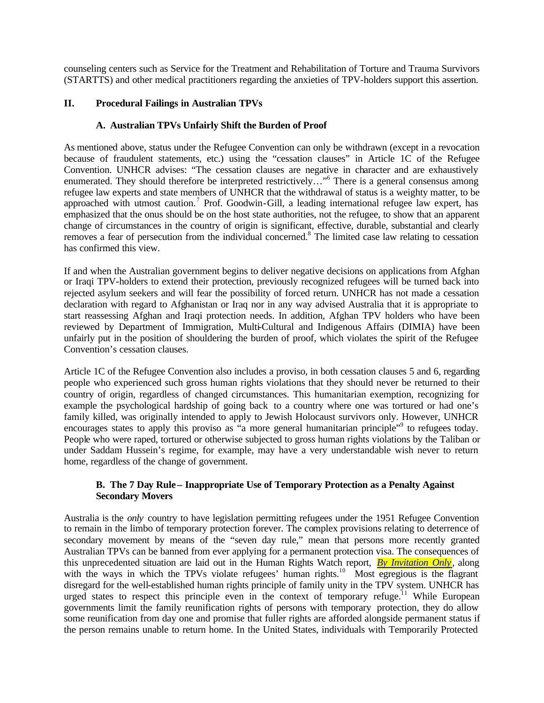counseling centers such as Service for the Treatment and Rehabilitation of Torture and Trauma Survivors (STARTTS) and other medical practitioners regarding the anxieties of TPV-holders support this assertion.

## **II. Procedural Failings in Australian TPVs**

## **A. Australian TPVs Unfairly Shift the Burden of Proof**

As mentioned above, status under the Refugee Convention can only be withdrawn (except in a revocation because of fraudulent statements, etc.) using the "cessation clauses" in Article 1C of the Refugee Convention. UNHCR advises: "The cessation clauses are negative in character and are exhaustively enumerated. They should therefore be interpreted restrictively..."<sup>6</sup> There is a general consensus among refugee law experts and state members of UNHCR that the withdrawal of status is a weighty matter, to be approached with utmost caution.<sup>7</sup> Prof. Goodwin-Gill, a leading international refugee law expert, has emphasized that the onus should be on the host state authorities, not the refugee, to show that an apparent change of circumstances in the country of origin is significant, effective, durable, substantial and clearly removes a fear of persecution from the individual concerned.<sup>8</sup> The limited case law relating to cessation has confirmed this view.

If and when the Australian government begins to deliver negative decisions on applications from Afghan or Iraqi TPV-holders to extend their protection, previously recognized refugees will be turned back into rejected asylum seekers and will fear the possibility of forced return. UNHCR has not made a cessation declaration with regard to Afghanistan or Iraq nor in any way advised Australia that it is appropriate to start reassessing Afghan and Iraqi protection needs. In addition, Afghan TPV holders who have been reviewed by Department of Immigration, Multi-Cultural and Indigenous Affairs (DIMIA) have been unfairly put in the position of shouldering the burden of proof, which violates the spirit of the Refugee Convention's cessation clauses.

Article 1C of the Refugee Convention also includes a proviso, in both cessation clauses 5 and 6, regarding people who experienced such gross human rights violations that they should never be returned to their country of origin, regardless of changed circumstances. This humanitarian exemption, recognizing for example the psychological hardship of going back to a country where one was tortured or had one's family killed, was originally intended to apply to Jewish Holocaust survivors only. However, UNHCR encourages states to apply this proviso as "a more general humanitarian principle"<sup>9</sup> to refugees today. People who were raped, tortured or otherwise subjected to gross human rights violations by the Taliban or under Saddam Hussein's regime, for example, may have a very understandable wish never to return home, regardless of the change of government.

## **B. The 7 Day Rule – Inappropriate Use of Temporary Protection as a Penalty Against Secondary Movers**

Australia is the *only* country to have legislation permitting refugees under the 1951 Refugee Convention to remain in the limbo of temporary protection forever. The complex provisions relating to deterrence of secondary movement by means of the "seven day rule," mean that persons more recently granted Australian TPVs can be banned from ever applying for a permanent protection visa. The consequences of this unprecedented situation are laid out in the Human Rights Watch report, *By Invitation Only ,* along with the ways in which the TPVs violate refugees' human rights.<sup>10</sup> Most egregious is the flagrant disregard for the well-established human rights principle of family unity in the TPV system. UNHCR has urged states to respect this principle even in the context of temporary refuge.<sup>11</sup> While European governments limit the family reunification rights of persons with temporary protection, they do allow some reunification from day one and promise that fuller rights are afforded alongside permanent status if the person remains unable to return home. In the United States, individuals with Temporarily Protected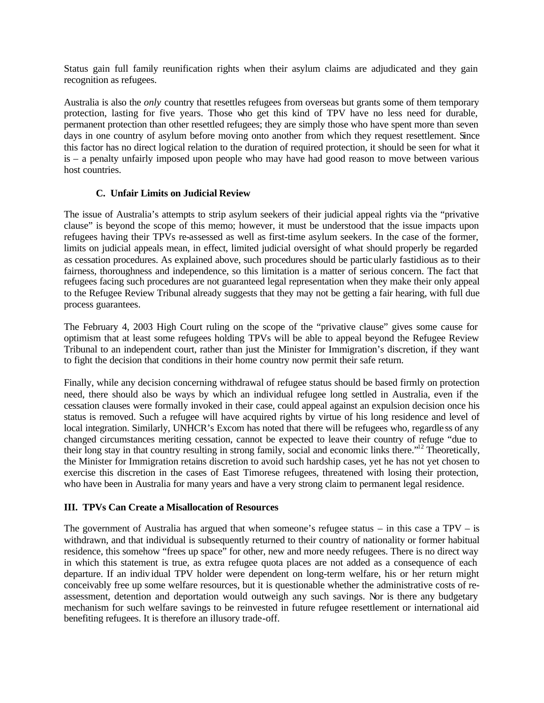Status gain full family reunification rights when their asylum claims are adjudicated and they gain recognition as refugees.

Australia is also the *only* country that resettles refugees from overseas but grants some of them temporary protection, lasting for five years. Those who get this kind of TPV have no less need for durable, permanent protection than other resettled refugees; they are simply those who have spent more than seven days in one country of asylum before moving onto another from which they request resettlement. Since this factor has no direct logical relation to the duration of required protection, it should be seen for what it is – a penalty unfairly imposed upon people who may have had good reason to move between various host countries.

### **C. Unfair Limits on Judicial Review**

The issue of Australia's attempts to strip asylum seekers of their judicial appeal rights via the "privative clause" is beyond the scope of this memo; however, it must be understood that the issue impacts upon refugees having their TPVs re-assessed as well as first-time asylum seekers. In the case of the former, limits on judicial appeals mean, in effect, limited judicial oversight of what should properly be regarded as cessation procedures. As explained above, such procedures should be particularly fastidious as to their fairness, thoroughness and independence, so this limitation is a matter of serious concern. The fact that refugees facing such procedures are not guaranteed legal representation when they make their only appeal to the Refugee Review Tribunal already suggests that they may not be getting a fair hearing, with full due process guarantees.

The February 4, 2003 High Court ruling on the scope of the "privative clause" gives some cause for optimism that at least some refugees holding TPVs will be able to appeal beyond the Refugee Review Tribunal to an independent court, rather than just the Minister for Immigration's discretion, if they want to fight the decision that conditions in their home country now permit their safe return.

Finally, while any decision concerning withdrawal of refugee status should be based firmly on protection need, there should also be ways by which an individual refugee long settled in Australia, even if the cessation clauses were formally invoked in their case, could appeal against an expulsion decision once his status is removed. Such a refugee will have acquired rights by virtue of his long residence and level of local integration. Similarly, UNHCR's Excom has noted that there will be refugees who, regardle ss of any changed circumstances meriting cessation, cannot be expected to leave their country of refuge "due to their long stay in that country resulting in strong family, social and economic links there."<sup>12</sup> Theoretically, the Minister for Immigration retains discretion to avoid such hardship cases, yet he has not yet chosen to exercise this discretion in the cases of East Timorese refugees, threatened with losing their protection, who have been in Australia for many years and have a very strong claim to permanent legal residence.

#### **III. TPVs Can Create a Misallocation of Resources**

The government of Australia has argued that when someone's refugee status  $-$  in this case a TPV  $-$  is withdrawn, and that individual is subsequently returned to their country of nationality or former habitual residence, this somehow "frees up space" for other, new and more needy refugees. There is no direct way in which this statement is true, as extra refugee quota places are not added as a consequence of each departure. If an individual TPV holder were dependent on long-term welfare, his or her return might conceivably free up some welfare resources, but it is questionable whether the administrative costs of reassessment, detention and deportation would outweigh any such savings. Nor is there any budgetary mechanism for such welfare savings to be reinvested in future refugee resettlement or international aid benefiting refugees. It is therefore an illusory trade-off.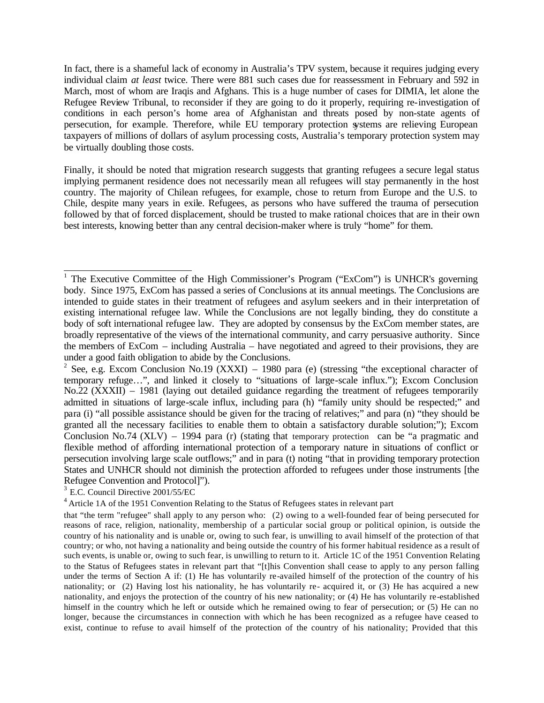In fact, there is a shameful lack of economy in Australia's TPV system, because it requires judging every individual claim *at least* twice. There were 881 such cases due for reassessment in February and 592 in March, most of whom are Iraqis and Afghans. This is a huge number of cases for DIMIA, let alone the Refugee Review Tribunal, to reconsider if they are going to do it properly, requiring re-investigation of conditions in each person's home area of Afghanistan and threats posed by non-state agents of persecution, for example. Therefore, while EU temporary protection systems are relieving European taxpayers of millions of dollars of asylum processing costs, Australia's temporary protection system may be virtually doubling those costs.

Finally, it should be noted that migration research suggests that granting refugees a secure legal status implying permanent residence does not necessarily mean all refugees will stay permanently in the host country. The majority of Chilean refugees, for example, chose to return from Europe and the U.S. to Chile, despite many years in exile. Refugees, as persons who have suffered the trauma of persecution followed by that of forced displacement, should be trusted to make rational choices that are in their own best interests, knowing better than any central decision-maker where is truly "home" for them.

3 E.C. Council Directive 2001/55/EC

<sup>4</sup> Article 1A of the 1951 Convention Relating to the Status of Refugees states in relevant part

<sup>&</sup>lt;sup>1</sup> The Executive Committee of the High Commissioner's Program ("ExCom") is UNHCR's governing body. Since 1975, ExCom has passed a series of Conclusions at its annual meetings. The Conclusions are intended to guide states in their treatment of refugees and asylum seekers and in their interpretation of existing international refugee law. While the Conclusions are not legally binding, they do constitute a body of soft international refugee law. They are adopted by consensus by the ExCom member states, are broadly representative of the views of the international community, and carry persuasive authority. Since the members of ExCom – including Australia – have negotiated and agreed to their provisions, they are under a good faith obligation to abide by the Conclusions.

<sup>&</sup>lt;sup>2</sup> See, e.g. Excom Conclusion No.19 (XXXI) – 1980 para (e) (stressing "the exceptional character of temporary refuge…", and linked it closely to "situations of large-scale influx."); Excom Conclusion No.22 (XXXII) – 1981 (laying out detailed guidance regarding the treatment of refugees temporarily admitted in situations of large-scale influx, including para (h) "family unity should be respected;" and para (i) "all possible assistance should be given for the tracing of relatives;" and para (n) "they should be granted all the necessary facilities to enable them to obtain a satisfactory durable solution;"); Excom Conclusion No.74 (XLV) – 1994 para (r) (stating that temporary protection can be "a pragmatic and flexible method of affording international protection of a temporary nature in situations of conflict or persecution involving large scale outflows;" and in para (t) noting "that in providing temporary protection States and UNHCR should not diminish the protection afforded to refugees under those instruments [the Refugee Convention and Protocol]").

that "the term "refugee" shall apply to any person who: (2) owing to a well-founded fear of being persecuted for reasons of race, religion, nationality, membership of a particular social group or political opinion, is outside the country of his nationality and is unable or, owing to such fear, is unwilling to avail himself of the protection of that country; or who, not having a nationality and being outside the country of his former habitual residence as a result of such events, is unable or, owing to such fear, is unwilling to return to it. Article 1C of the 1951 Convention Relating to the Status of Refugees states in relevant part that "[t]his Convention shall cease to apply to any person falling under the terms of Section A if: (1) He has voluntarily re-availed himself of the protection of the country of his nationality; or (2) Having lost his nationality, he has voluntarily re- acquired it, or (3) He has acquired a new nationality, and enjoys the protection of the country of his new nationality; or (4) He has voluntarily re-established himself in the country which he left or outside which he remained owing to fear of persecution; or (5) He can no longer, because the circumstances in connection with which he has been recognized as a refugee have ceased to exist, continue to refuse to avail himself of the protection of the country of his nationality; Provided that this